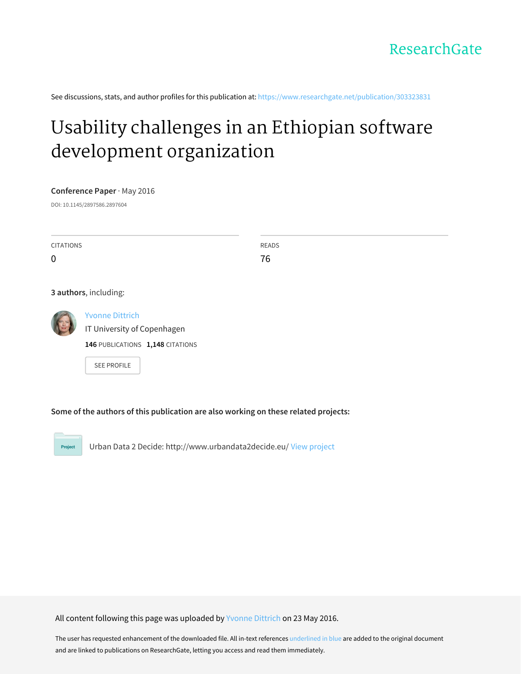See discussions, stats, and author profiles for this publication at: [https://www.researchgate.net/publication/303323831](https://www.researchgate.net/publication/303323831_Usability_challenges_in_an_Ethiopian_software_development_organization?enrichId=rgreq-716a18437a76e5f6ff81f7564ab6aa93-XXX&enrichSource=Y292ZXJQYWdlOzMwMzMyMzgzMTtBUzozNjQ5MzY5NzE3MzUwNDBAMTQ2NDAxOTE2MjA1Ng%3D%3D&el=1_x_2&_esc=publicationCoverPdf)

# Usability challenges in an Ethiopian software [development](https://www.researchgate.net/publication/303323831_Usability_challenges_in_an_Ethiopian_software_development_organization?enrichId=rgreq-716a18437a76e5f6ff81f7564ab6aa93-XXX&enrichSource=Y292ZXJQYWdlOzMwMzMyMzgzMTtBUzozNjQ5MzY5NzE3MzUwNDBAMTQ2NDAxOTE2MjA1Ng%3D%3D&el=1_x_3&_esc=publicationCoverPdf) organization

### **Conference Paper** · May 2016

DOI: 10.1145/2897586.2897604

| <b>CITATIONS</b> |                                  | <b>READS</b> |
|------------------|----------------------------------|--------------|
| 0                |                                  | 76           |
|                  |                                  |              |
|                  | 3 authors, including:            |              |
|                  | <b>Yvonne Dittrich</b>           |              |
|                  | IT University of Copenhagen      |              |
|                  | 146 PUBLICATIONS 1,148 CITATIONS |              |
|                  | <b>SEE PROFILE</b>               |              |

### **Some of the authors of this publication are also working on these related projects:**

Project

Urban Data 2 Decide: http://www.urbandata2decide.eu/ View [project](https://www.researchgate.net/project/Urban-Data-2-Decide-http-wwwurbandata2decideeu?enrichId=rgreq-716a18437a76e5f6ff81f7564ab6aa93-XXX&enrichSource=Y292ZXJQYWdlOzMwMzMyMzgzMTtBUzozNjQ5MzY5NzE3MzUwNDBAMTQ2NDAxOTE2MjA1Ng%3D%3D&el=1_x_9&_esc=publicationCoverPdf)

All content following this page was uploaded by Yvonne [Dittrich](https://www.researchgate.net/profile/Yvonne_Dittrich?enrichId=rgreq-716a18437a76e5f6ff81f7564ab6aa93-XXX&enrichSource=Y292ZXJQYWdlOzMwMzMyMzgzMTtBUzozNjQ5MzY5NzE3MzUwNDBAMTQ2NDAxOTE2MjA1Ng%3D%3D&el=1_x_10&_esc=publicationCoverPdf) on 23 May 2016.

The user has requested enhancement of the downloaded file. All in-text references underlined in blue are added to the original document and are linked to publications on ResearchGate, letting you access and read them immediately.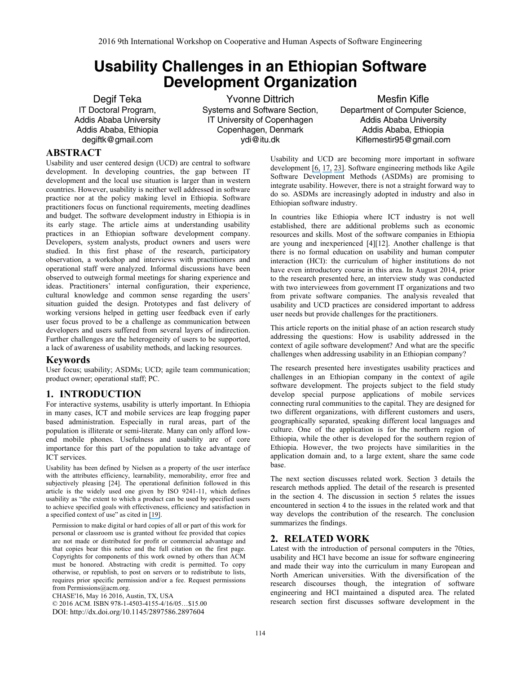## **Usability Challenges in an Ethiopian Software Development Organization**

Degif Teka IT Doctoral Program, Addis Ababa University Addis Ababa, Ethiopia degiftk@gmail.com

Yvonne Dittrich Systems and Software Section, IT University of Copenhagen Copenhagen, Denmark ydi@itu.dk

Mesfin Kifle Department of Computer Science, Addis Ababa University Addis Ababa, Ethiopia Kiflemestir95@gmail.com

## **ABSTRACT**

Usability and user centered design (UCD) are central to software development. In developing countries, the gap between IT development and the local use situation is larger than in western countries. However, usability is neither well addressed in software practice nor at the policy making level in Ethiopia. Software practitioners focus on functional requirements, meeting deadlines and budget. The software development industry in Ethiopia is in its early stage. The article aims at understanding usability practices in an Ethiopian software development company. Developers, system analysts, product owners and users were studied. In this first phase of the research, participatory observation, a workshop and interviews with practitioners and operational staff were analyzed. Informal discussions have been observed to outweigh formal meetings for sharing experience and ideas. Practitioners' internal configuration, their experience, cultural knowledge and common sense regarding the users' situation guided the design. Prototypes and fast delivery of working versions helped in getting user feedback even if early user focus proved to be a challenge as communication between developers and users suffered from several layers of indirection. Further challenges are the heterogeneity of users to be supported, a lack of awareness of usability methods, and lacking resources.

## **Keywords**

User focus; usability; ASDMs; UCD; agile team communication; product owner; operational staff; PC.

## **1. INTRODUCTION**

For interactive systems, usability is utterly important. In Ethiopia in many cases, ICT and mobile services are leap frogging paper based administration. Especially in rural areas, part of the population is illiterate or semi-literate. Many can only afford lowend mobile phones. Usefulness and usability are of core importance for this part of the population to take advantage of ICT services.

Usability has been defined by Nielsen as a property of the user interface with the attributes efficiency, learnability, memorability, error free and subjectively pleasing [24]. The operational definition followed in this article is the widely used one given by ISO 9241-11, which defines usability as "the extent to which a product can be used by specified users to achieve specified goals with effectiveness, efficiency and satisfaction in a specified context of use" as cited in [\[19\]](https://www.researchgate.net/publication/234788597_The_standard_of_user-centered_design_and_the_standard_definition_of_usability_Analyzing_ISO_13407_against_ISO_9241-11?el=1_x_8&enrichId=rgreq-716a18437a76e5f6ff81f7564ab6aa93-XXX&enrichSource=Y292ZXJQYWdlOzMwMzMyMzgzMTtBUzozNjQ5MzY5NzE3MzUwNDBAMTQ2NDAxOTE2MjA1Ng==).

Permission to make digital or hard copies of all or part of this work for personal or classroom use is granted without fee provided that copies are not made or distributed for profit or commercial advantage and that copies bear this notice and the full citation on the first page. Copyrights for components of this work owned by others than ACM must be honored. Abstracting with credit is permitted. To copy otherwise, or republish, to post on servers or to redistribute to lists, requires prior specific permission and/or a fee. Request permissions from Permissions@acm.org.

CHASE'16, May 16 2016, Austin, TX, USA

© 2016 ACM. ISBN 978-1-4503-4155-4/16/05…\$15.00

DOI: http://dx.doi.org/10.1145/2897586.2897604

Usability and UCD are becoming more important in software development [\[6,](https://www.researchgate.net/publication/223388969_Why_usability_gets_lost_or_usability_in_in-house_software_development?el=1_x_8&enrichId=rgreq-716a18437a76e5f6ff81f7564ab6aa93-XXX&enrichSource=Y292ZXJQYWdlOzMwMzMyMzgzMTtBUzozNjQ5MzY5NzE3MzUwNDBAMTQ2NDAxOTE2MjA1Ng==) [17,](https://www.researchgate.net/publication/220542186_The_usability_design_process_-_Integrating_user-centered_systems_design_in_the_software_development_process?el=1_x_8&enrichId=rgreq-716a18437a76e5f6ff81f7564ab6aa93-XXX&enrichSource=Y292ZXJQYWdlOzMwMzMyMzgzMTtBUzozNjQ5MzY5NzE3MzUwNDBAMTQ2NDAxOTE2MjA1Ng==) [23\]](https://www.researchgate.net/publication/221786492_Integrating_Software_Engineering_and_Usability_Engineering?el=1_x_8&enrichId=rgreq-716a18437a76e5f6ff81f7564ab6aa93-XXX&enrichSource=Y292ZXJQYWdlOzMwMzMyMzgzMTtBUzozNjQ5MzY5NzE3MzUwNDBAMTQ2NDAxOTE2MjA1Ng==). Software engineering methods like Agile Software Development Methods (ASDMs) are promising to integrate usability. However, there is not a straight forward way to do so. ASDMs are increasingly adopted in industry and also in Ethiopian software industry.

In countries like Ethiopia where ICT industry is not well established, there are additional problems such as economic resources and skills. Most of the software companies in Ethiopia are young and inexperienced [4][12]. Another challenge is that there is no formal education on usability and human computer interaction (HCI): the curriculum of higher institutions do not have even introductory course in this area. In August 2014, prior to the research presented here, an interview study was conducted with two interviewees from government IT organizations and two from private software companies. The analysis revealed that usability and UCD practices are considered important to address user needs but provide challenges for the practitioners.

This article reports on the initial phase of an action research study addressing the questions: How is usability addressed in the context of agile software development? And what are the specific challenges when addressing usability in an Ethiopian company?

The research presented here investigates usability practices and challenges in an Ethiopian company in the context of agile software development. The projects subject to the field study develop special purpose applications of mobile services connecting rural communities to the capital. They are designed for two different organizations, with different customers and users, geographically separated, speaking different local languages and culture. One of the application is for the northern region of Ethiopia, while the other is developed for the southern region of Ethiopia. However, the two projects have similarities in the application domain and, to a large extent, share the same code base.

The next section discusses related work. Section 3 details the research methods applied. The detail of the research is presented in the section 4. The discussion in section 5 relates the issues encountered in section 4 to the issues in the related work and that way develops the contribution of the research. The conclusion summarizes the findings.

## **2. RELATED WORK**

Latest with the introduction of personal computers in the 70ties, usability and HCI have become an issue for software engineering and made their way into the curriculum in many European and North American universities. With the diversification of the research discourses though, the integration of software engineering and HCI maintained a disputed area. The related research section first discusses software development in the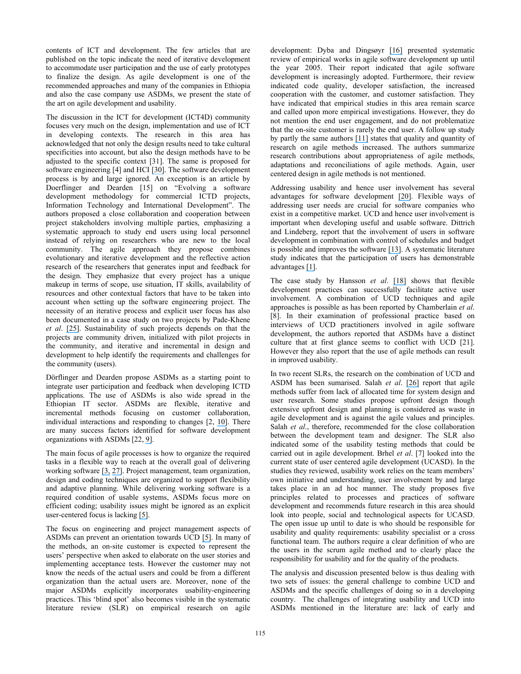contents of ICT and development. The few articles that are published on the topic indicate the need of iterative development to accommodate user participation and the use of early prototypes to finalize the design. As agile development is one of the recommended approaches and many of the companies in Ethiopia and also the case company use ASDMs, we present the state of the art on agile development and usability.

The discussion in the ICT for development (ICT4D) community focuses very much on the design, implementation and use of ICT in developing contexts. The research in this area has acknowledged that not only the design results need to take cultural specificities into account, but also the design methods have to be adjusted to the specific context [31]. The same is proposed for software engineering [4] and HCI [\[30\]](https://www.researchgate.net/publication/262250469_Localising_HCI_practice_for_local_needs?el=1_x_8&enrichId=rgreq-716a18437a76e5f6ff81f7564ab6aa93-XXX&enrichSource=Y292ZXJQYWdlOzMwMzMyMzgzMTtBUzozNjQ5MzY5NzE3MzUwNDBAMTQ2NDAxOTE2MjA1Ng==). The software development process is by and large ignored. An exception is an article by Doerflinger and Dearden [15] on "Evolving a software" development methodology for commercial ICTD projects, Information Technology and International Development". The authors proposed a close collaboration and cooperation between project stakeholders involving multiple parties, emphasizing a systematic approach to study end users using local personnel instead of relying on researchers who are new to the local community. The agile approach they propose combines evolutionary and iterative development and the reflective action research of the researchers that generates input and feedback for the design. They emphasize that every project has a unique makeup in terms of scope, use situation, IT skills, availability of resources and other contextual factors that have to be taken into account when setting up the software engineering project. The necessity of an iterative process and explicit user focus has also been documented in a case study on two projects by Pade-Khene *et al*. [\[25\]](https://www.researchgate.net/publication/233157922_Sustainable_rural_ICT_project_management_practice_for_developing_countries_Investigating_the_Dwesa_and_RUMEP_projects?el=1_x_8&enrichId=rgreq-716a18437a76e5f6ff81f7564ab6aa93-XXX&enrichSource=Y292ZXJQYWdlOzMwMzMyMzgzMTtBUzozNjQ5MzY5NzE3MzUwNDBAMTQ2NDAxOTE2MjA1Ng==). Sustainability of such projects depends on that the projects are community driven, initialized with pilot projects in the community, and iterative and incremental in design and development to help identify the requirements and challenges for the community (users).

Dörflinger and Dearden propose ASDMs as a starting point to integrate user participation and feedback when developing ICTD applications. The use of ASDMs is also wide spread in the Ethiopian IT sector. ASDMs are flexible, iterative and incremental methods focusing on customer collaboration, individual interactions and responding to changes [2, [10\]](https://www.researchgate.net/publication/238176910_Agile_Software_Development_Addison_Wesley?el=1_x_8&enrichId=rgreq-716a18437a76e5f6ff81f7564ab6aa93-XXX&enrichSource=Y292ZXJQYWdlOzMwMzMyMzgzMTtBUzozNjQ5MzY5NzE3MzUwNDBAMTQ2NDAxOTE2MjA1Ng==). There are many success factors identified for software development organizations with ASDMs [22, [9\]](https://www.researchgate.net/publication/223537912_A_Survey_Study_of_Critical_Success_Factors_in_Agile_Software_Projects?el=1_x_8&enrichId=rgreq-716a18437a76e5f6ff81f7564ab6aa93-XXX&enrichSource=Y292ZXJQYWdlOzMwMzMyMzgzMTtBUzozNjQ5MzY5NzE3MzUwNDBAMTQ2NDAxOTE2MjA1Ng==).

The main focus of agile processes is how to organize the required tasks in a flexible way to reach at the overall goal of delivering working software [\[3,](https://www.researchgate.net/publication/242350998_Extreme_Programming_Explained_Embrace_Change?el=1_x_8&enrichId=rgreq-716a18437a76e5f6ff81f7564ab6aa93-XXX&enrichSource=Y292ZXJQYWdlOzMwMzMyMzgzMTtBUzozNjQ5MzY5NzE3MzUwNDBAMTQ2NDAxOTE2MjA1Ng==) [27\]](https://www.researchgate.net/publication/242403407_Agile_Software_Development_With_Scrum?el=1_x_8&enrichId=rgreq-716a18437a76e5f6ff81f7564ab6aa93-XXX&enrichSource=Y292ZXJQYWdlOzMwMzMyMzgzMTtBUzozNjQ5MzY5NzE3MzUwNDBAMTQ2NDAxOTE2MjA1Ng==). Project management, team organization, design and coding techniques are organized to support flexibility and adaptive planning. While delivering working software is a required condition of usable systems, ASDMs focus more on efficient coding; usability issues might be ignored as an explicit user-centered focus is lacking [\[5\]](https://www.researchgate.net/publication/226269885_Towards_a_Model_for_Bridging_Agile_Development_and_User-Centered_Design?el=1_x_8&enrichId=rgreq-716a18437a76e5f6ff81f7564ab6aa93-XXX&enrichSource=Y292ZXJQYWdlOzMwMzMyMzgzMTtBUzozNjQ5MzY5NzE3MzUwNDBAMTQ2NDAxOTE2MjA1Ng==).

The focus on engineering and project management aspects of ASDMs can prevent an orientation towards UCD [\[5\]](https://www.researchgate.net/publication/226269885_Towards_a_Model_for_Bridging_Agile_Development_and_User-Centered_Design?el=1_x_8&enrichId=rgreq-716a18437a76e5f6ff81f7564ab6aa93-XXX&enrichSource=Y292ZXJQYWdlOzMwMzMyMzgzMTtBUzozNjQ5MzY5NzE3MzUwNDBAMTQ2NDAxOTE2MjA1Ng==). In many of the methods, an on-site customer is expected to represent the users' perspective when asked to elaborate on the user stories and implementing acceptance tests. However the customer may not know the needs of the actual users and could be from a different organization than the actual users are. Moreover, none of the major ASDMs explicitly incorporates usability-engineering practices. This 'blind spot' also becomes visible in the systematic literature review (SLR) on empirical research on agile

development: Dyba and Dingsøyr [\[16\]](https://www.researchgate.net/publication/222827396_Dingsoyr_T_Empirical_studies_of_agile_software_development_A_systematic_review_Inf_Soft_Tech_509-10_833-859?el=1_x_8&enrichId=rgreq-716a18437a76e5f6ff81f7564ab6aa93-XXX&enrichSource=Y292ZXJQYWdlOzMwMzMyMzgzMTtBUzozNjQ5MzY5NzE3MzUwNDBAMTQ2NDAxOTE2MjA1Ng==) presented systematic review of empirical works in agile software development up until the year 2005. Their report indicated that agile software development is increasingly adopted. Furthermore, their review indicated code quality, developer satisfaction, the increased cooperation with the customer, and customer satisfaction. They have indicated that empirical studies in this area remain scarce and called upon more empirical investigations. However, they do not mention the end user engagement, and do not problematize that the on-site customer is rarely the end user. A follow up study by partly the same authors [\[11\]](https://www.researchgate.net/publication/236211358_A_decade_of_agile_methodologies_Towards_explaining_agile_software_development?el=1_x_8&enrichId=rgreq-716a18437a76e5f6ff81f7564ab6aa93-XXX&enrichSource=Y292ZXJQYWdlOzMwMzMyMzgzMTtBUzozNjQ5MzY5NzE3MzUwNDBAMTQ2NDAxOTE2MjA1Ng==) states that quality and quantity of research on agile methods increased. The authors summarize research contributions about appropriateness of agile methods, adaptations and reconciliations of agile methods. Again, user centered design in agile methods is not mentioned.

Addressing usability and hence user involvement has several advantages for software development [\[20\]](https://www.researchgate.net/publication/220208710_User_involvement_A_review_of_the_benefits_and_challenges?el=1_x_8&enrichId=rgreq-716a18437a76e5f6ff81f7564ab6aa93-XXX&enrichSource=Y292ZXJQYWdlOzMwMzMyMzgzMTtBUzozNjQ5MzY5NzE3MzUwNDBAMTQ2NDAxOTE2MjA1Ng==). Flexible ways of addressing user needs are crucial for software companies who exist in a competitive market. UCD and hence user involvement is important when developing useful and usable software. Dittrich and Lindeberg, report that the involvement of users in software development in combination with control of schedules and budget is possible and improves the software [\[13\]](https://www.researchgate.net/publication/222413525_How_use-oriented_development_can_take_place?el=1_x_8&enrichId=rgreq-716a18437a76e5f6ff81f7564ab6aa93-XXX&enrichSource=Y292ZXJQYWdlOzMwMzMyMzgzMTtBUzozNjQ5MzY5NzE3MzUwNDBAMTQ2NDAxOTE2MjA1Ng==). A systematic literature study indicates that the participation of users has demonstrable advantages [\[1\]](https://www.researchgate.net/publication/259634664_Understanding_the_Influence_of_User_Participation_and_Involvement_on_System_Success_-_a_Systematic_Mapping_Study?el=1_x_8&enrichId=rgreq-716a18437a76e5f6ff81f7564ab6aa93-XXX&enrichSource=Y292ZXJQYWdlOzMwMzMyMzgzMTtBUzozNjQ5MzY5NzE3MzUwNDBAMTQ2NDAxOTE2MjA1Ng==).

The case study by Hansson *et al*. [\[18\]](https://www.researchgate.net/publication/27399132_Agile_processes_enhancing_user_participation_for_small_providers_of_off-the-shelf_software?el=1_x_8&enrichId=rgreq-716a18437a76e5f6ff81f7564ab6aa93-XXX&enrichSource=Y292ZXJQYWdlOzMwMzMyMzgzMTtBUzozNjQ5MzY5NzE3MzUwNDBAMTQ2NDAxOTE2MjA1Ng==) shows that flexible development practices can successfully facilitate active user involvement. A combination of UCD techniques and agile approaches is possible as has been reported by Chamberlain *et al*. [8]. In their examination of professional practice based on interviews of UCD practitioners involved in agile software development, the authors reported that ASDMs have a distinct culture that at first glance seems to conflict with UCD [21]. However they also report that the use of agile methods can result in improved usability.

In two recent SLRs, the research on the combination of UCD and ASDM has been sumarised. Salah *et al*. [\[26\]](https://www.researchgate.net/publication/266658764_A_systematic_literature_review_for_Agile_development_processes_and_user_centred_design_integration?el=1_x_8&enrichId=rgreq-716a18437a76e5f6ff81f7564ab6aa93-XXX&enrichSource=Y292ZXJQYWdlOzMwMzMyMzgzMTtBUzozNjQ5MzY5NzE3MzUwNDBAMTQ2NDAxOTE2MjA1Ng==) report that agile methods suffer from lack of allocated time for system design and user research. Some studies propose upfront design though extensive upfront design and planning is considered as waste in agile development and is against the agile values and principles. Salah *et al*., therefore, recommended for the close collaboration between the development team and designer. The SLR also indicated some of the usability testing methods that could be carried out in agile development. Brhel *et al*. [7] looked into the current state of user centered agile development (UCASD). In the studies they reviewed, usability work relies on the team members' own initiative and understanding, user involvement by and large takes place in an ad hoc manner. The study proposes five principles related to processes and practices of software development and recommends future research in this area should look into people, social and technological aspects for UCASD. The open issue up until to date is who should be responsible for usability and quality requirements: usability specialist or a cross functional team. The authors require a clear definition of who are the users in the scrum agile method and to clearly place the responsibility for usability and for the quality of the products.

The analysis and discussion presented below is thus dealing with two sets of issues: the general challenge to combine UCD and ASDMs and the specific challenges of doing so in a developing country. The challenges of integrating usability and UCD into ASDMs mentioned in the literature are: lack of early and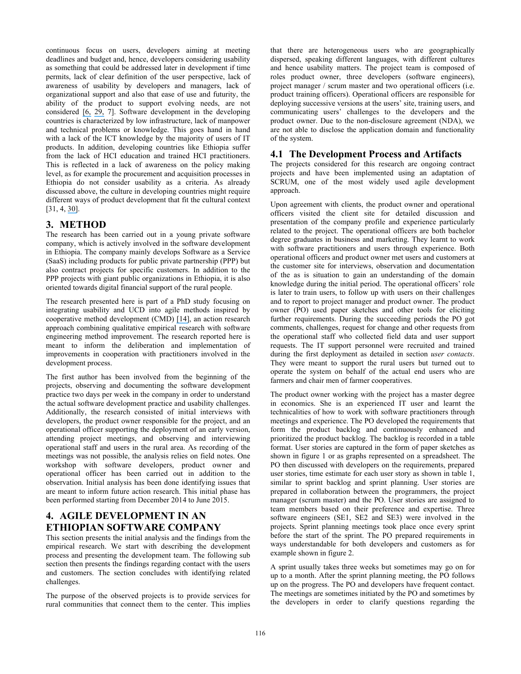continuous focus on users, developers aiming at meeting deadlines and budget and, hence, developers considering usability as something that could be addressed later in development if time permits, lack of clear definition of the user perspective, lack of awareness of usability by developers and managers, lack of organizational support and also that ease of use and futurity, the ability of the product to support evolving needs, are not considered [\[6,](https://www.researchgate.net/publication/223388969_Why_usability_gets_lost_or_usability_in_in-house_software_development?el=1_x_8&enrichId=rgreq-716a18437a76e5f6ff81f7564ab6aa93-XXX&enrichSource=Y292ZXJQYWdlOzMwMzMyMzgzMTtBUzozNjQ5MzY5NzE3MzUwNDBAMTQ2NDAxOTE2MjA1Ng==) [29,](https://www.researchgate.net/publication/224256376_User-Centered_Design_and_Agile_Methods_A_Systematic_Review?el=1_x_8&enrichId=rgreq-716a18437a76e5f6ff81f7564ab6aa93-XXX&enrichSource=Y292ZXJQYWdlOzMwMzMyMzgzMTtBUzozNjQ5MzY5NzE3MzUwNDBAMTQ2NDAxOTE2MjA1Ng==) 7]. Software development in the developing countries is characterized by low infrastructure, lack of manpower and technical problems or knowledge. This goes hand in hand with a lack of the ICT knowledge by the majority of users of IT products. In addition, developing countries like Ethiopia suffer from the lack of HCI education and trained HCI practitioners. This is reflected in a lack of awareness on the policy making level, as for example the procurement and acquisition processes in Ethiopia do not consider usability as a criteria. As already discussed above, the culture in developing countries might require different ways of product development that fit the cultural context [31, 4, [30\]](https://www.researchgate.net/publication/262250469_Localising_HCI_practice_for_local_needs?el=1_x_8&enrichId=rgreq-716a18437a76e5f6ff81f7564ab6aa93-XXX&enrichSource=Y292ZXJQYWdlOzMwMzMyMzgzMTtBUzozNjQ5MzY5NzE3MzUwNDBAMTQ2NDAxOTE2MjA1Ng==).

## **3. METHOD**

The research has been carried out in a young private software company, which is actively involved in the software development in Ethiopia. The company mainly develops Software as a Service (SaaS) including products for public private partnership (PPP) but also contract projects for specific customers. In addition to the PPP projects with giant public organizations in Ethiopia, it is also oriented towards digital financial support of the rural people.

The research presented here is part of a PhD study focusing on integrating usability and UCD into agile methods inspired by cooperative method development (CMD) [\[14\]](https://www.researchgate.net/publication/220277657_Cooperative_method_development?el=1_x_8&enrichId=rgreq-716a18437a76e5f6ff81f7564ab6aa93-XXX&enrichSource=Y292ZXJQYWdlOzMwMzMyMzgzMTtBUzozNjQ5MzY5NzE3MzUwNDBAMTQ2NDAxOTE2MjA1Ng==), an action research approach combining qualitative empirical research with software engineering method improvement. The research reported here is meant to inform the deliberation and implementation of improvements in cooperation with practitioners involved in the development process.

The first author has been involved from the beginning of the projects, observing and documenting the software development practice two days per week in the company in order to understand the actual software development practice and usability challenges. Additionally, the research consisted of initial interviews with developers, the product owner responsible for the project, and an operational officer supporting the deployment of an early version, attending project meetings, and observing and interviewing operational staff and users in the rural area. As recording of the meetings was not possible, the analysis relies on field notes. One workshop with software developers, product owner and operational officer has been carried out in addition to the observation. Initial analysis has been done identifying issues that are meant to inform future action research. This initial phase has been performed starting from December 2014 to June 2015.

## **4. AGILE DEVELOPMENT IN AN ETHIOPIAN SOFTWARE COMPANY**

This section presents the initial analysis and the findings from the empirical research. We start with describing the development process and presenting the development team. The following sub section then presents the findings regarding contact with the users and customers. The section concludes with identifying related challenges.

The purpose of the observed projects is to provide services for rural communities that connect them to the center. This implies that there are heterogeneous users who are geographically dispersed, speaking different languages, with different cultures and hence usability matters. The project team is composed of roles product owner, three developers (software engineers), project manager / scrum master and two operational officers (i.e. product training officers). Operational officers are responsible for deploying successive versions at the users' site, training users, and communicating users' challenges to the developers and the product owner. Due to the non-disclosure agreement (NDA), we are not able to disclose the application domain and functionality of the system.

### **4.1 The Development Process and Artifacts**

The projects considered for this research are ongoing contract projects and have been implemented using an adaptation of SCRUM, one of the most widely used agile development approach.

Upon agreement with clients, the product owner and operational officers visited the client site for detailed discussion and presentation of the company profile and experience particularly related to the project. The operational officers are both bachelor degree graduates in business and marketing. They learnt to work with software practitioners and users through experience. Both operational officers and product owner met users and customers at the customer site for interviews, observation and documentation of the as is situation to gain an understanding of the domain knowledge during the initial period. The operational officers' role is later to train users, to follow up with users on their challenges and to report to project manager and product owner. The product owner (PO) used paper sketches and other tools for eliciting further requirements. During the succeeding periods the PO got comments, challenges, request for change and other requests from the operational staff who collected field data and user support requests. The IT support personnel were recruited and trained during the first deployment as detailed in section *user contacts*. They were meant to support the rural users but turned out to operate the system on behalf of the actual end users who are farmers and chair men of farmer cooperatives.

The product owner working with the project has a master degree in economics. She is an experienced IT user and learnt the technicalities of how to work with software practitioners through meetings and experience. The PO developed the requirements that form the product backlog and continuously enhanced and prioritized the product backlog. The backlog is recorded in a table format. User stories are captured in the form of paper sketches as shown in figure 1 or as graphs represented on a spreadsheet. The PO then discussed with developers on the requirements, prepared user stories, time estimate for each user story as shown in table 1, similar to sprint backlog and sprint planning. User stories are prepared in collaboration between the programmers, the project manager (scrum master) and the PO. User stories are assigned to team members based on their preference and expertise. Three software engineers (SE1, SE2 and SE3) were involved in the projects. Sprint planning meetings took place once every sprint before the start of the sprint. The PO prepared requirements in ways understandable for both developers and customers as for example shown in figure 2.

A sprint usually takes three weeks but sometimes may go on for up to a month. After the sprint planning meeting, the PO follows up on the progress. The PO and developers have frequent contact. The meetings are sometimes initiated by the PO and sometimes by the developers in order to clarify questions regarding the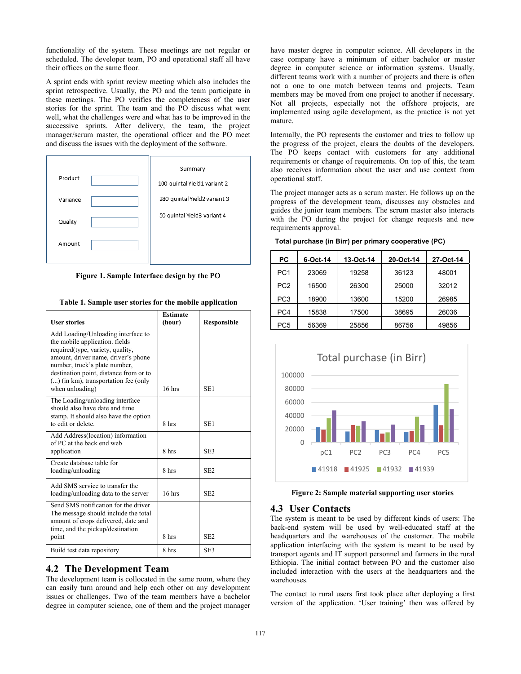functionality of the system. These meetings are not regular or scheduled. The developer team, PO and operational staff all have their offices on the same floor.

A sprint ends with sprint review meeting which also includes the sprint retrospective. Usually, the PO and the team participate in these meetings. The PO verifies the completeness of the user stories for the sprint. The team and the PO discuss what went well, what the challenges were and what has to be improved in the successive sprints. After delivery, the team, the project manager/scrum master, the operational officer and the PO meet and discuss the issues with the deployment of the software.



**Figure 1. Sample Interface design by the PO** 

**Table 1. Sample user stories for the mobile application**

| <b>User stories</b>                                                                                                                                                                                                                                                                     | <b>Estimate</b><br>(hour) | <b>Responsible</b> |
|-----------------------------------------------------------------------------------------------------------------------------------------------------------------------------------------------------------------------------------------------------------------------------------------|---------------------------|--------------------|
| Add Loading/Unloading interface to<br>the mobile application. fields<br>required(type, variety, quality,<br>amount, driver name, driver's phone<br>number, truck's plate number,<br>destination point, distance from or to<br>$()$ (in km), transportation fee (only<br>when unloading) | $16$ hrs                  | SE1                |
| The Loading/unloading interface<br>should also have date and time<br>stamp. It should also have the option<br>to edit or delete                                                                                                                                                         | 8 hrs                     | SE1                |
| Add Address(location) information<br>of PC at the back end web<br>application                                                                                                                                                                                                           | 8 hrs                     | SE3                |
| Create database table for<br>loading/unloading                                                                                                                                                                                                                                          | 8 hrs                     | SE <sub>2</sub>    |
| Add SMS service to transfer the<br>loading/unloading data to the server                                                                                                                                                                                                                 | $16$ hrs                  | SE <sub>2</sub>    |
| Send SMS notification for the driver<br>The message should include the total<br>amount of crops delivered, date and<br>time, and the pickup/destination<br>point                                                                                                                        | 8 hrs                     | SE <sub>2</sub>    |
| Build test data repository                                                                                                                                                                                                                                                              | 8 hrs                     | SE3                |

## **4.2 The Development Team**

The development team is collocated in the same room, where they can easily turn around and help each other on any development issues or challenges. Two of the team members have a bachelor degree in computer science, one of them and the project manager have master degree in computer science. All developers in the case company have a minimum of either bachelor or master degree in computer science or information systems. Usually, different teams work with a number of projects and there is often not a one to one match between teams and projects. Team members may be moved from one project to another if necessary. Not all projects, especially not the offshore projects, are implemented using agile development, as the practice is not yet mature.

Internally, the PO represents the customer and tries to follow up the progress of the project, clears the doubts of the developers. The PO keeps contact with customers for any additional requirements or change of requirements. On top of this, the team also receives information about the user and use context from operational staff.

The project manager acts as a scrum master. He follows up on the progress of the development team, discusses any obstacles and guides the junior team members. The scrum master also interacts with the PO during the project for change requests and new requirements approval.

|  | Total purchase (in Birr) per primary cooperative (PC) |  |  |  |  |  |  |  |  |
|--|-------------------------------------------------------|--|--|--|--|--|--|--|--|
|--|-------------------------------------------------------|--|--|--|--|--|--|--|--|

| PС              | 6-Oct-14 | 13-Oct-14 | 20-Oct-14 | 27-Oct-14 |
|-----------------|----------|-----------|-----------|-----------|
| PC <sub>1</sub> | 23069    | 19258     | 36123     | 48001     |
| PC <sub>2</sub> | 16500    | 26300     | 25000     | 32012     |
| PC <sub>3</sub> | 18900    | 13600     | 15200     | 26985     |
| PC <sub>4</sub> | 15838    | 17500     | 38695     | 26036     |
| PC <sub>5</sub> | 56369    | 25856     | 86756     | 49856     |



**Figure 2: Sample material supporting user stories** 

## **4.3 User Contacts**

The system is meant to be used by different kinds of users: The back-end system will be used by well-educated staff at the headquarters and the warehouses of the customer. The mobile application interfacing with the system is meant to be used by transport agents and IT support personnel and farmers in the rural Ethiopia. The initial contact between PO and the customer also included interaction with the users at the headquarters and the warehouses.

The contact to rural users first took place after deploying a first version of the application. 'User training' then was offered by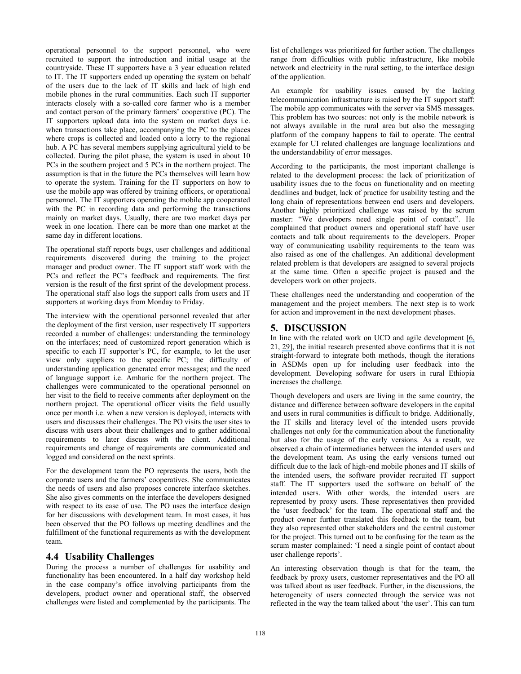operational personnel to the support personnel, who were recruited to support the introduction and initial usage at the countryside. These IT supporters have a 3 year education related to IT. The IT supporters ended up operating the system on behalf of the users due to the lack of IT skills and lack of high end mobile phones in the rural communities. Each such IT supporter interacts closely with a so-called core farmer who is a member and contact person of the primary farmers' cooperative (PC). The IT supporters upload data into the system on market days i.e. when transactions take place, accompanying the PC to the places where crops is collected and loaded onto a lorry to the regional hub. A PC has several members supplying agricultural yield to be collected. During the pilot phase, the system is used in about 10 PCs in the southern project and 5 PCs in the northern project. The assumption is that in the future the PCs themselves will learn how to operate the system. Training for the IT supporters on how to use the mobile app was offered by training officers, or operational personnel. The IT supporters operating the mobile app cooperated with the PC in recording data and performing the transactions mainly on market days. Usually, there are two market days per week in one location. There can be more than one market at the same day in different locations.

The operational staff reports bugs, user challenges and additional requirements discovered during the training to the project manager and product owner. The IT support staff work with the PCs and reflect the PC's feedback and requirements. The first version is the result of the first sprint of the development process. The operational staff also logs the support calls from users and IT supporters at working days from Monday to Friday.

The interview with the operational personnel revealed that after the deployment of the first version, user respectively IT supporters recorded a number of challenges: understanding the terminology on the interfaces; need of customized report generation which is specific to each IT supporter's PC, for example, to let the user view only suppliers to the specific PC; the difficulty of understanding application generated error messages; and the need of language support i.e. Amharic for the northern project. The challenges were communicated to the operational personnel on her visit to the field to receive comments after deployment on the northern project. The operational officer visits the field usually once per month i.e. when a new version is deployed, interacts with users and discusses their challenges. The PO visits the user sites to discuss with users about their challenges and to gather additional requirements to later discuss with the client. Additional requirements and change of requirements are communicated and logged and considered on the next sprints.

For the development team the PO represents the users, both the corporate users and the farmers' cooperatives. She communicates the needs of users and also proposes concrete interface sketches. She also gives comments on the interface the developers designed with respect to its ease of use. The PO uses the interface design for her discussions with development team. In most cases, it has been observed that the PO follows up meeting deadlines and the fulfillment of the functional requirements as with the development team.

## **4.4 Usability Challenges**

During the process a number of challenges for usability and functionality has been encountered. In a half day workshop held in the case company's office involving participants from the developers, product owner and operational staff, the observed challenges were listed and complemented by the participants. The list of challenges was prioritized for further action. The challenges range from difficulties with public infrastructure, like mobile network and electricity in the rural setting, to the interface design of the application.

An example for usability issues caused by the lacking telecommunication infrastructure is raised by the IT support staff: The mobile app communicates with the server via SMS messages. This problem has two sources: not only is the mobile network is not always available in the rural area but also the messaging platform of the company happens to fail to operate. The central example for UI related challenges are language localizations and the understandability of error messages.

According to the participants, the most important challenge is related to the development process: the lack of prioritization of usability issues due to the focus on functionality and on meeting deadlines and budget, lack of practice for usability testing and the long chain of representations between end users and developers. Another highly prioritized challenge was raised by the scrum master: "We developers need single point of contact". He complained that product owners and operational staff have user contacts and talk about requirements to the developers. Proper way of communicating usability requirements to the team was also raised as one of the challenges. An additional development related problem is that developers are assigned to several projects at the same time. Often a specific project is paused and the developers work on other projects.

These challenges need the understanding and cooperation of the management and the project members. The next step is to work for action and improvement in the next development phases.

## **5. DISCUSSION**

In line with the related work on UCD and agile development [\[6,](https://www.researchgate.net/publication/223388969_Why_usability_gets_lost_or_usability_in_in-house_software_development?el=1_x_8&enrichId=rgreq-716a18437a76e5f6ff81f7564ab6aa93-XXX&enrichSource=Y292ZXJQYWdlOzMwMzMyMzgzMTtBUzozNjQ5MzY5NzE3MzUwNDBAMTQ2NDAxOTE2MjA1Ng==) 21, [29\]](https://www.researchgate.net/publication/224256376_User-Centered_Design_and_Agile_Methods_A_Systematic_Review?el=1_x_8&enrichId=rgreq-716a18437a76e5f6ff81f7564ab6aa93-XXX&enrichSource=Y292ZXJQYWdlOzMwMzMyMzgzMTtBUzozNjQ5MzY5NzE3MzUwNDBAMTQ2NDAxOTE2MjA1Ng==), the initial research presented above confirms that it is not straight-forward to integrate both methods, though the iterations in ASDMs open up for including user feedback into the development. Developing software for users in rural Ethiopia increases the challenge.

Though developers and users are living in the same country, the distance and difference between software developers in the capital and users in rural communities is difficult to bridge. Additionally, the IT skills and literacy level of the intended users provide challenges not only for the communication about the functionality but also for the usage of the early versions. As a result, we observed a chain of intermediaries between the intended users and the development team. As using the early versions turned out difficult due to the lack of high-end mobile phones and IT skills of the intended users, the software provider recruited IT support staff. The IT supporters used the software on behalf of the intended users. With other words, the intended users are represented by proxy users. These representatives then provided the 'user feedback' for the team. The operational staff and the product owner further translated this feedback to the team, but they also represented other stakeholders and the central customer for the project. This turned out to be confusing for the team as the scrum master complained: 'I need a single point of contact about user challenge reports'.

An interesting observation though is that for the team, the feedback by proxy users, customer representatives and the PO all was talked about as user feedback. Further, in the discussions, the heterogeneity of users connected through the service was not reflected in the way the team talked about 'the user'. This can turn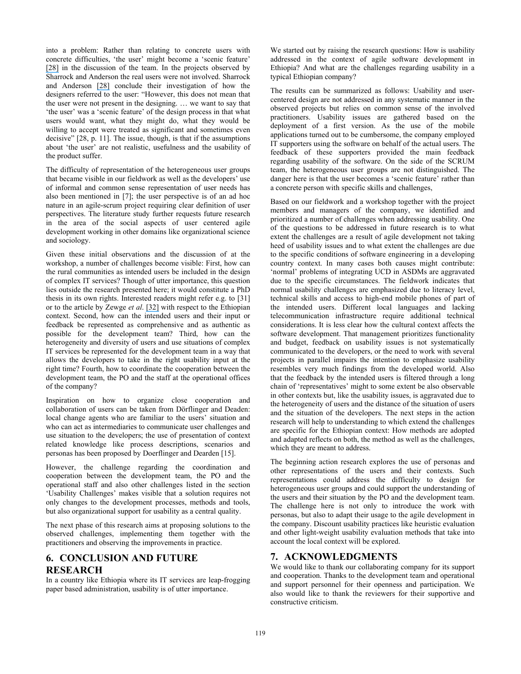into a problem: Rather than relating to concrete users with concrete difficulties, 'the user' might become a 'scenic feature' [\[28\]](https://www.researchgate.net/publication/222453407_The_user_as_a_scenic_feature_of_the_design_space?el=1_x_8&enrichId=rgreq-716a18437a76e5f6ff81f7564ab6aa93-XXX&enrichSource=Y292ZXJQYWdlOzMwMzMyMzgzMTtBUzozNjQ5MzY5NzE3MzUwNDBAMTQ2NDAxOTE2MjA1Ng==) in the discussion of the team. In the projects observed by Sharrock and Anderson the real users were not involved. Sharrock and Anderson [\[28\]](https://www.researchgate.net/publication/222453407_The_user_as_a_scenic_feature_of_the_design_space?el=1_x_8&enrichId=rgreq-716a18437a76e5f6ff81f7564ab6aa93-XXX&enrichSource=Y292ZXJQYWdlOzMwMzMyMzgzMTtBUzozNjQ5MzY5NzE3MzUwNDBAMTQ2NDAxOTE2MjA1Ng==) conclude their investigation of how the designers referred to the user: "However, this does not mean that the user were not present in the designing. … we want to say that 'the user' was a 'scenic feature' of the design process in that what users would want, what they might do, what they would be willing to accept were treated as significant and sometimes even decisive" [28, p. 11]. The issue, though, is that if the assumptions about 'the user' are not realistic, usefulness and the usability of the product suffer.

The difficulty of representation of the heterogeneous user groups that became visible in our fieldwork as well as the developers' use of informal and common sense representation of user needs has also been mentioned in [7]; the user perspective is of an ad hoc nature in an agile-scrum project requiring clear definition of user perspectives. The literature study further requests future research in the area of the social aspects of user centered agile development working in other domains like organizational science and sociology.

Given these initial observations and the discussion of at the workshop, a number of challenges become visible: First, how can the rural communities as intended users be included in the design of complex IT services? Though of utter importance, this question lies outside the research presented here; it would constitute a PhD thesis in its own rights. Interested readers might refer e.g. to [31] or to the article by Zewge *et al*. [\[32\]](https://www.researchgate.net/publication/269335374_Software_designing_methodology_for_ICT4D_domain?el=1_x_8&enrichId=rgreq-716a18437a76e5f6ff81f7564ab6aa93-XXX&enrichSource=Y292ZXJQYWdlOzMwMzMyMzgzMTtBUzozNjQ5MzY5NzE3MzUwNDBAMTQ2NDAxOTE2MjA1Ng==) with respect to the Ethiopian context. Second, how can the intended users and their input or feedback be represented as comprehensive and as authentic as possible for the development team? Third, how can the heterogeneity and diversity of users and use situations of complex IT services be represented for the development team in a way that allows the developers to take in the right usability input at the right time? Fourth, how to coordinate the cooperation between the development team, the PO and the staff at the operational offices of the company?

Inspiration on how to organize close cooperation and collaboration of users can be taken from Dörflinger and Deaden: local change agents who are familiar to the users' situation and who can act as intermediaries to communicate user challenges and use situation to the developers; the use of presentation of context related knowledge like process descriptions, scenarios and personas has been proposed by Doerflinger and Dearden [15].

However, the challenge regarding the coordination and cooperation between the development team, the PO and the operational staff and also other challenges listed in the section 'Usability Challenges' makes visible that a solution requires not only changes to the development processes, methods and tools, but also organizational support for usability as a central quality.

The next phase of this research aims at proposing solutions to the observed challenges, implementing them together with the practitioners and observing the improvements in practice.

## **6. CONCLUSION AND FUTURE RESEARCH**

In a country like Ethiopia where its IT services are leap-frogging paper based administration, usability is of utter importance.

We started out by raising the research questions: How is usability addressed in the context of agile software development in Ethiopia? And what are the challenges regarding usability in a typical Ethiopian company?

The results can be summarized as follows: Usability and usercentered design are not addressed in any systematic manner in the observed projects but relies on common sense of the involved practitioners. Usability issues are gathered based on the deployment of a first version. As the use of the mobile applications turned out to be cumbersome, the company employed IT supporters using the software on behalf of the actual users. The feedback of these supporters provided the main feedback regarding usability of the software. On the side of the SCRUM team, the heterogeneous user groups are not distinguished. The danger here is that the user becomes a 'scenic feature' rather than a concrete person with specific skills and challenges,

Based on our fieldwork and a workshop together with the project members and managers of the company, we identified and prioritized a number of challenges when addressing usability. One of the questions to be addressed in future research is to what extent the challenges are a result of agile development not taking heed of usability issues and to what extent the challenges are due to the specific conditions of software engineering in a developing country context. In many cases both causes might contribute: 'normal' problems of integrating UCD in ASDMs are aggravated due to the specific circumstances. The fieldwork indicates that normal usability challenges are emphasized due to literacy level, technical skills and access to high-end mobile phones of part of the intended users. Different local languages and lacking telecommunication infrastructure require additional technical considerations. It is less clear how the cultural context affects the software development. That management prioritizes functionality and budget, feedback on usability issues is not systematically communicated to the developers, or the need to work with several projects in parallel impairs the intention to emphasize usability resembles very much findings from the developed world. Also that the feedback by the intended users is filtered through a long chain of 'representatives' might to some extent be also observable in other contexts but, like the usability issues, is aggravated due to the heterogeneity of users and the distance of the situation of users and the situation of the developers. The next steps in the action research will help to understanding to which extend the challenges are specific for the Ethiopian context: How methods are adopted and adapted reflects on both, the method as well as the challenges, which they are meant to address.

The beginning action research explores the use of personas and other representations of the users and their contexts. Such representations could address the difficulty to design for heterogeneous user groups and could support the understanding of the users and their situation by the PO and the development team. The challenge here is not only to introduce the work with personas, but also to adapt their usage to the agile development in the company. Discount usability practices like heuristic evaluation and other light-weight usability evaluation methods that take into account the local context will be explored.

## **7. ACKNOWLEDGMENTS**

We would like to thank our collaborating company for its support and cooperation. Thanks to the development team and operational and support personnel for their openness and participation. We also would like to thank the reviewers for their supportive and constructive criticism.